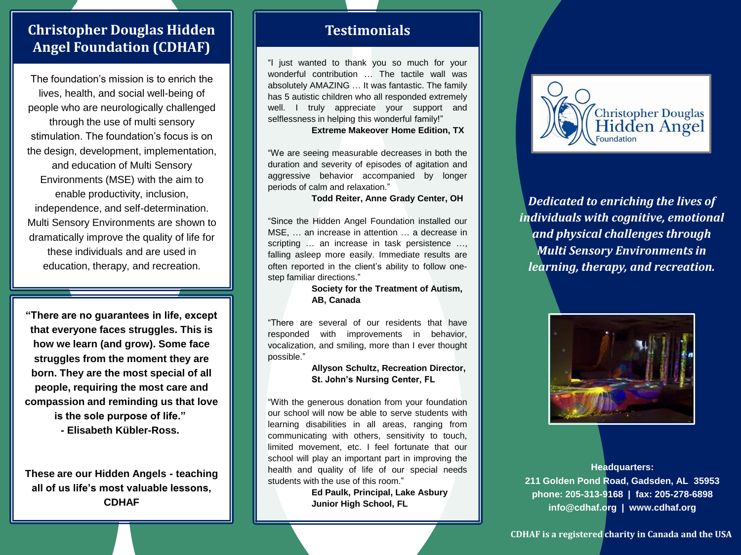# **Christopher Douglas Hidden Angel Foundation (CDHAF)**

The foundation's mission is to enrich the lives, health, and social well-being of people who are neurologically challenged through the use of multi sensory stimulation. The foundation's focus is on the design, development, implementation, and education of Multi Sensory Environments (MSE) with the aim to enable productivity, inclusion, independence, and self-determination. Multi Sensory Environments are shown to dramatically improve the quality of life for these individuals and are used in education, therapy, and recreation.

**"There are no guarantees in life, except that everyone faces struggles. This is how we learn (and grow). Some face struggles from the moment they are born. They are the most special of all people, requiring the most care and compassion and reminding us that love is the sole purpose of life." - Elisabeth Kübler-Ross.**

**These are our Hidden Angels - teaching all of us life's most valuable lessons, CDHAF**

#### **Testimonials**

"I just wanted to thank you so much for your wonderful contribution … The tactile wall was absolutely AMAZING … It was fantastic. The family has 5 autistic children who all responded extremely well. I truly appreciate your support and selflessness in helping this wonderful family!"

**Extreme Makeover Home Edition, TX**

"We are seeing measurable decreases in both the duration and severity of episodes of agitation and aggressive behavior accompanied by longer periods of calm and relaxation."

**Todd Reiter, Anne Grady Center, OH**

"Since the Hidden Angel Foundation installed our MSE, … an increase in attention … a decrease in scripting … an increase in task persistence …, falling asleep more easily. Immediate results are often reported in the client's ability to follow onestep familiar directions."

> **Society for the Treatment of Autism, AB, Canada**

"There are several of our residents that have responded with improvements in behavior, vocalization, and smiling, more than I ever thought possible."

#### **Allyson Schultz, Recreation Director, St. John's Nursing Center, FL**

"With the generous donation from your foundation our school will now be able to serve students with learning disabilities in all areas, ranging from communicating with others, sensitivity to touch, limited movement, etc. I feel fortunate that our school will play an important part in improving the health and quality of life of our special needs students with the use of this room."

> **Ed Paulk, Principal, Lake Asbury Junior High School, FL**



*Dedicated to enriching the lives of individuals with cognitive, emotional and physical challenges through Multi Sensory Environments in learning, therapy, and recreation.*



**Headquarters: 211 Golden Pond Road, Gadsden, AL 35953 phone: 205-313-9168 | fax: 205-278-6898 info@cdhaf.org | www.cdhaf.org**

**CDHAF is a registered charity in Canada and the USA**